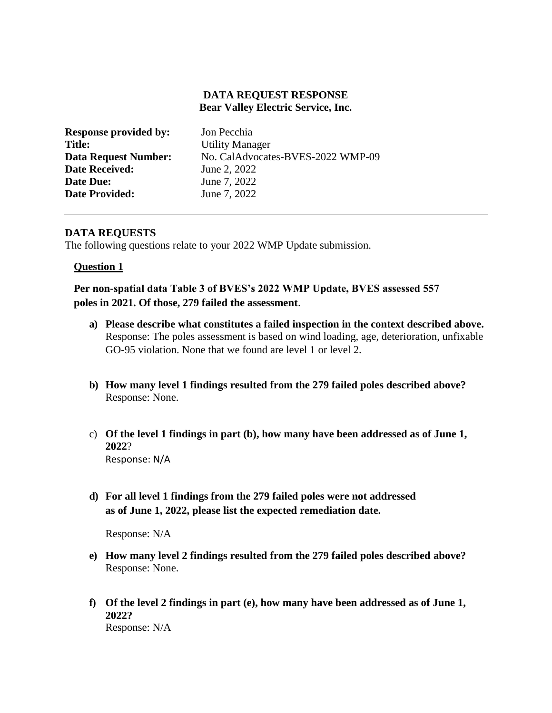## **DATA REQUEST RESPONSE Bear Valley Electric Service, Inc.**

| Jon Pecchia                       |
|-----------------------------------|
| <b>Utility Manager</b>            |
| No. CalAdvocates-BVES-2022 WMP-09 |
| June 2, 2022                      |
| June 7, 2022                      |
| June 7, 2022                      |
|                                   |

## **DATA REQUESTS**

The following questions relate to your 2022 WMP Update submission.

### **Question 1**

**Per non-spatial data Table 3 of BVES's 2022 WMP Update, BVES assessed 557 poles in 2021. Of those, 279 failed the assessment**.

- **a) Please describe what constitutes a failed inspection in the context described above.** Response: The poles assessment is based on wind loading, age, deterioration, unfixable GO-95 violation. None that we found are level 1 or level 2.
- **b) How many level 1 findings resulted from the 279 failed poles described above?** Response: None.
- c) **Of the level 1 findings in part (b), how many have been addressed as of June 1, 2022**? Response: N/A
- **d) For all level 1 findings from the 279 failed poles were not addressed as of June 1, 2022, please list the expected remediation date.**

Response: N/A

- **e) How many level 2 findings resulted from the 279 failed poles described above?** Response: None.
- **f) Of the level 2 findings in part (e), how many have been addressed as of June 1, 2022?** Response: N/A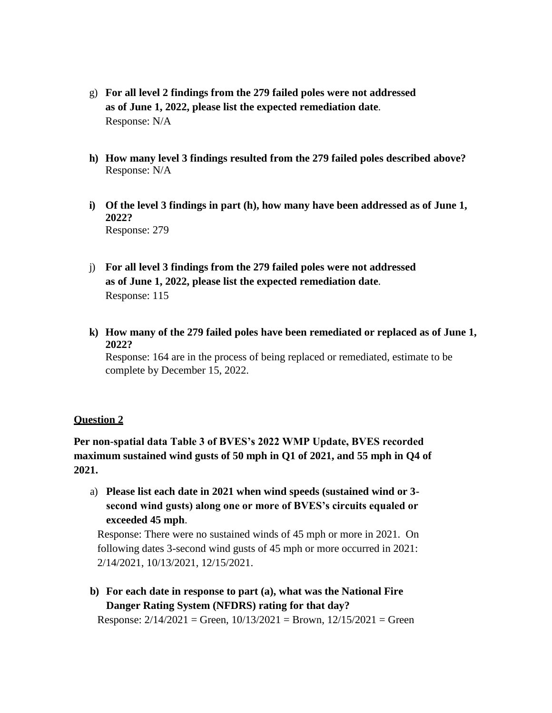- g) **For all level 2 findings from the 279 failed poles were not addressed as of June 1, 2022, please list the expected remediation date**. Response: N/A
- **h) How many level 3 findings resulted from the 279 failed poles described above?** Response: N/A
- **i) Of the level 3 findings in part (h), how many have been addressed as of June 1, 2022?** Response: 279
- j) **For all level 3 findings from the 279 failed poles were not addressed as of June 1, 2022, please list the expected remediation date**. Response: 115
- **k) How many of the 279 failed poles have been remediated or replaced as of June 1, 2022?**

Response: 164 are in the process of being replaced or remediated, estimate to be complete by December 15, 2022.

# **Question 2**

**Per non-spatial data Table 3 of BVES's 2022 WMP Update, BVES recorded maximum sustained wind gusts of 50 mph in Q1 of 2021, and 55 mph in Q4 of 2021.**

a) **Please list each date in 2021 when wind speeds (sustained wind or 3 second wind gusts) along one or more of BVES's circuits equaled or exceeded 45 mph**.

Response: There were no sustained winds of 45 mph or more in 2021. On following dates 3-second wind gusts of 45 mph or more occurred in 2021: 2/14/2021, 10/13/2021, 12/15/2021.

**b) For each date in response to part (a), what was the National Fire Danger Rating System (NFDRS) rating for that day?**

Response:  $2/14/2021$  = Green,  $10/13/2021$  = Brown,  $12/15/2021$  = Green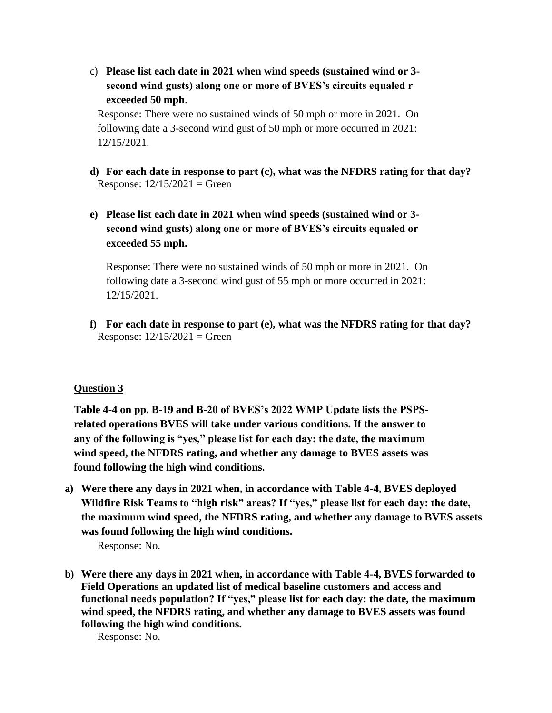c) **Please list each date in 2021 when wind speeds (sustained wind or 3 second wind gusts) along one or more of BVES's circuits equaled r exceeded 50 mph**.

Response: There were no sustained winds of 50 mph or more in 2021. On following date a 3-second wind gust of 50 mph or more occurred in 2021: 12/15/2021.

- **d) For each date in response to part (c), what was the NFDRS rating for that day?** Response:  $12/15/2021 =$  Green
- **e) Please list each date in 2021 when wind speeds (sustained wind or 3 second wind gusts) along one or more of BVES's circuits equaled or exceeded 55 mph.**

Response: There were no sustained winds of 50 mph or more in 2021. On following date a 3-second wind gust of 55 mph or more occurred in 2021: 12/15/2021.

**f) For each date in response to part (e), what was the NFDRS rating for that day?** Response:  $12/15/2021 =$  Green

# **Question 3**

**Table 4-4 on pp. B-19 and B-20 of BVES's 2022 WMP Update lists the PSPSrelated operations BVES will take under various conditions. If the answer to any of the following is "yes," please list for each day: the date, the maximum wind speed, the NFDRS rating, and whether any damage to BVES assets was found following the high wind conditions.**

**a) Were there any days in 2021 when, in accordance with Table 4-4, BVES deployed Wildfire Risk Teams to "high risk" areas? If "yes," please list for each day: the date, the maximum wind speed, the NFDRS rating, and whether any damage to BVES assets was found following the high wind conditions.**

Response: No.

**b) Were there any days in 2021 when, in accordance with Table 4-4, BVES forwarded to Field Operations an updated list of medical baseline customers and access and functional needs population? If "yes," please list for each day: the date, the maximum wind speed, the NFDRS rating, and whether any damage to BVES assets was found following the high wind conditions.**

Response: No.